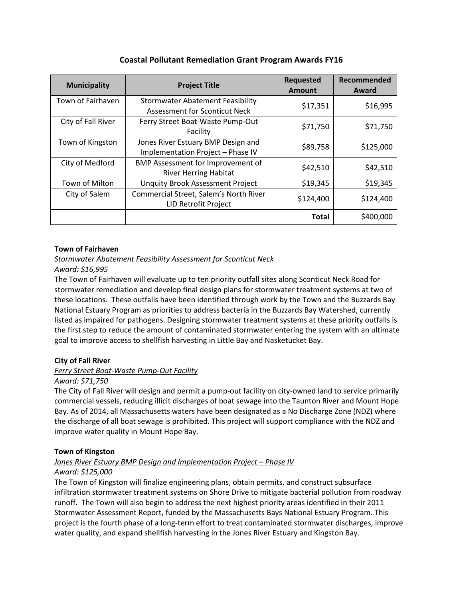| <b>Municipality</b> | <b>Project Title</b>                                                            | <b>Requested</b><br><b>Amount</b> | Recommended<br>Award |
|---------------------|---------------------------------------------------------------------------------|-----------------------------------|----------------------|
| Town of Fairhaven   | <b>Stormwater Abatement Feasibility</b><br><b>Assessment for Sconticut Neck</b> | \$17,351                          | \$16,995             |
| City of Fall River  | Ferry Street Boat-Waste Pump-Out<br>Facility                                    | \$71,750                          | \$71,750             |
| Town of Kingston    | Jones River Estuary BMP Design and<br>Implementation Project - Phase IV         | \$89,758                          | \$125,000            |
| City of Medford     | BMP Assessment for Improvement of<br><b>River Herring Habitat</b>               | \$42,510                          | \$42,510             |
| Town of Milton      | <b>Unquity Brook Assessment Project</b>                                         | \$19,345                          | \$19,345             |
| City of Salem       | Commercial Street, Salem's North River<br>LID Retrofit Project                  | \$124,400                         | \$124,400            |
|                     |                                                                                 | <b>Total</b>                      | \$400,000            |

## **Coastal Pollutant Remediation Grant Program Awards FY16**

### **Town of Fairhaven**

## *Stormwater Abatement Feasibility Assessment for Sconticut Neck*

*Award: \$16,995*

The Town of Fairhaven will evaluate up to ten priority outfall sites along Sconticut Neck Road for stormwater remediation and develop final design plans for stormwater treatment systems at two of these locations. These outfalls have been identified through work by the Town and the Buzzards Bay National Estuary Program as priorities to address bacteria in the Buzzards Bay Watershed, currently listed as impaired for pathogens. Designing stormwater treatment systems at these priority outfalls is the first step to reduce the amount of contaminated stormwater entering the system with an ultimate goal to improve access to shellfish harvesting in Little Bay and Nasketucket Bay.

## **City of Fall River**

## *Ferry Street Boat-Waste Pump-Out Facility*

#### *Award: \$71,750*

The City of Fall River will design and permit a pump-out facility on city-owned land to service primarily commercial vessels, reducing illicit discharges of boat sewage into the Taunton River and Mount Hope Bay. As of 2014, all Massachusetts waters have been designated as a No Discharge Zone (NDZ) where the discharge of all boat sewage is prohibited. This project will support compliance with the NDZ and improve water quality in Mount Hope Bay.

#### **Town of Kingston**

## *Jones River Estuary BMP Design and Implementation Project – Phase IV*

#### *Award: \$125,000*

The Town of Kingston will finalize engineering plans, obtain permits, and construct subsurface infiltration stormwater treatment systems on Shore Drive to mitigate bacterial pollution from roadway runoff. The Town will also begin to address the next highest priority areas identified in their 2011 Stormwater Assessment Report, funded by the Massachusetts Bays National Estuary Program. This project is the fourth phase of a long-term effort to treat contaminated stormwater discharges, improve water quality, and expand shellfish harvesting in the Jones River Estuary and Kingston Bay.